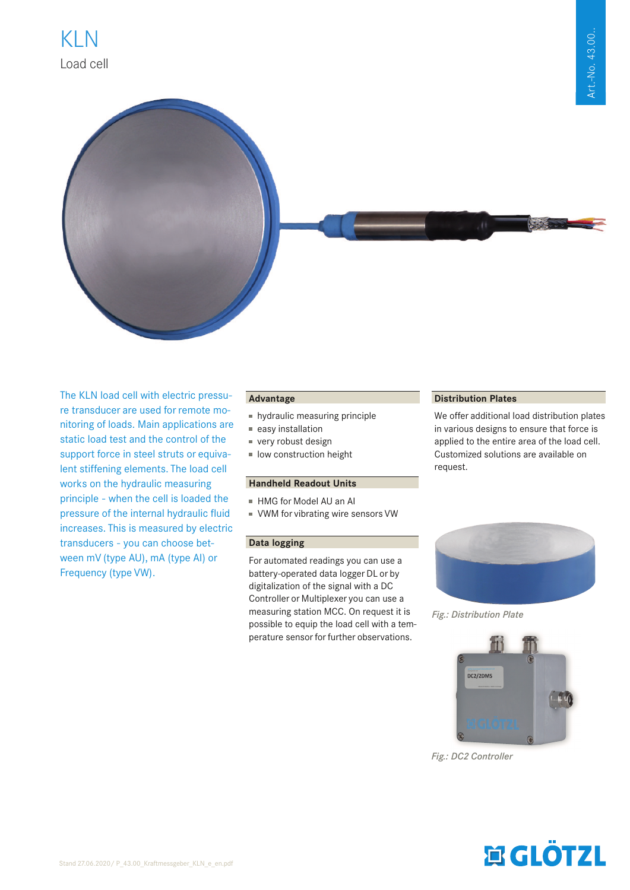

The KLN load cell with electric pressure transducer are used for remote monitoring of loads. Main applications are static load test and the control of the support force in steel struts or equivalent stiffening elements. The load cell works on the hydraulic measuring principle - when the cell is loaded the pressure of the internal hydraulic fluid increases. This is measured by electric transducers - you can choose between mV (type AU), mA (type AI) or Frequency (type VW).

## **Advantage**

- hydraulic measuring principle
- easy installation
- very robust design
- low construction height

## **Handheld Readout Units**

- HMG for Model AU an AI
- VWM for vibrating wire sensors VW

### **Data logging**

For automated readings you can use a battery-operated data logger DL or by digitalization of the signal with a DC Controller or Multiplexer you can use a measuring station MCC. On request it is possible to equip the load cell with a temperature sensor for further observations.

## **Distribution Plates**

We offer additional load distribution plates in various designs to ensure that force is applied to the entire area of the load cell. Customized solutions are available on request.



*Fig.: Distribution Plate*



*Fig.: DC2 Controller*